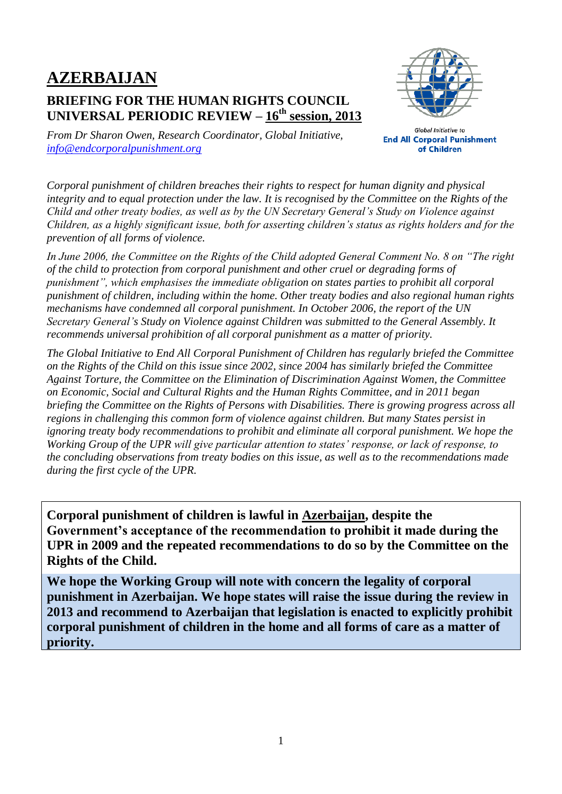# **AZERBAIJAN**

## **BRIEFING FOR THE HUMAN RIGHTS COUNCIL UNIVERSAL PERIODIC REVIEW – 16 th session, 2013**



*From Dr Sharon Owen, Research Coordinator, Global Initiative, [info@endcorporalpunishment.org](mailto:info@endcorporalpunishment.org)*

**Global Initiative to End All Corporal Punishment** of Children

*Corporal punishment of children breaches their rights to respect for human dignity and physical integrity and to equal protection under the law. It is recognised by the Committee on the Rights of the Child and other treaty bodies, as well as by the UN Secretary General's Study on Violence against Children, as a highly significant issue, both for asserting children's status as rights holders and for the prevention of all forms of violence.*

*In June 2006, the Committee on the Rights of the Child adopted General Comment No. 8 on "The right of the child to protection from corporal punishment and other cruel or degrading forms of punishment", which emphasises the immediate obligation on states parties to prohibit all corporal punishment of children, including within the home. Other treaty bodies and also regional human rights mechanisms have condemned all corporal punishment. In October 2006, the report of the UN Secretary General's Study on Violence against Children was submitted to the General Assembly. It recommends universal prohibition of all corporal punishment as a matter of priority.*

*The Global Initiative to End All Corporal Punishment of Children has regularly briefed the Committee on the Rights of the Child on this issue since 2002, since 2004 has similarly briefed the Committee Against Torture, the Committee on the Elimination of Discrimination Against Women, the Committee on Economic, Social and Cultural Rights and the Human Rights Committee, and in 2011 began briefing the Committee on the Rights of Persons with Disabilities. There is growing progress across all regions in challenging this common form of violence against children. But many States persist in ignoring treaty body recommendations to prohibit and eliminate all corporal punishment. We hope the Working Group of the UPR will give particular attention to states' response, or lack of response, to the concluding observations from treaty bodies on this issue, as well as to the recommendations made during the first cycle of the UPR.*

**Corporal punishment of children is lawful in Azerbaijan, despite the Government's acceptance of the recommendation to prohibit it made during the UPR in 2009 and the repeated recommendations to do so by the Committee on the Rights of the Child.**

**We hope the Working Group will note with concern the legality of corporal punishment in Azerbaijan. We hope states will raise the issue during the review in 2013 and recommend to Azerbaijan that legislation is enacted to explicitly prohibit corporal punishment of children in the home and all forms of care as a matter of priority.**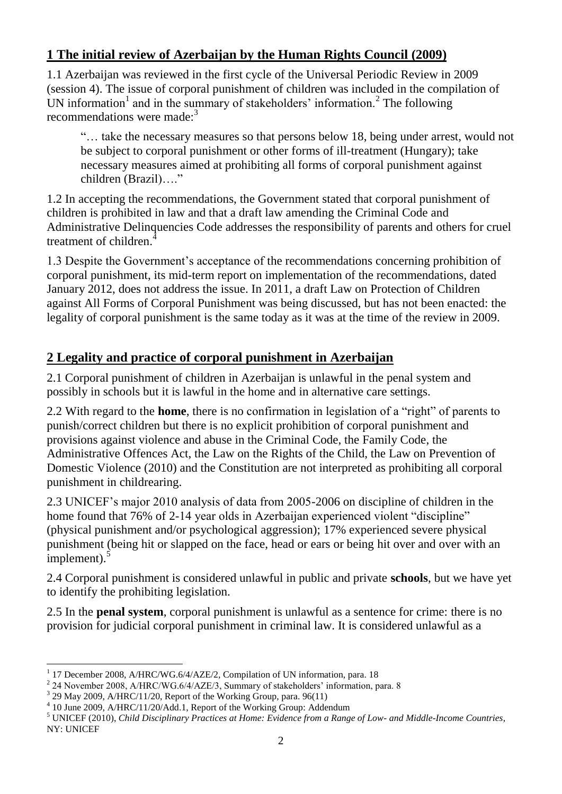### **1 The initial review of Azerbaijan by the Human Rights Council (2009)**

1.1 Azerbaijan was reviewed in the first cycle of the Universal Periodic Review in 2009 (session 4). The issue of corporal punishment of children was included in the compilation of UN information<sup>1</sup> and in the summary of stakeholders' information.<sup>2</sup> The following recommendations were made: $3$ 

"… take the necessary measures so that persons below 18, being under arrest, would not be subject to corporal punishment or other forms of ill-treatment (Hungary); take necessary measures aimed at prohibiting all forms of corporal punishment against children (Brazil)…."

1.2 In accepting the recommendations, the Government stated that corporal punishment of children is prohibited in law and that a draft law amending the Criminal Code and Administrative Delinquencies Code addresses the responsibility of parents and others for cruel treatment of children.<sup>4</sup>

1.3 Despite the Government's acceptance of the recommendations concerning prohibition of corporal punishment, its mid-term report on implementation of the recommendations, dated January 2012, does not address the issue. In 2011, a draft Law on Protection of Children against All Forms of Corporal Punishment was being discussed, but has not been enacted: the legality of corporal punishment is the same today as it was at the time of the review in 2009.

## **2 Legality and practice of corporal punishment in Azerbaijan**

2.1 Corporal punishment of children in Azerbaijan is unlawful in the penal system and possibly in schools but it is lawful in the home and in alternative care settings.

2.2 With regard to the **home**, there is no confirmation in legislation of a "right" of parents to punish/correct children but there is no explicit prohibition of corporal punishment and provisions against violence and abuse in the Criminal Code, the Family Code, the Administrative Offences Act, the Law on the Rights of the Child, the Law on Prevention of Domestic Violence (2010) and the Constitution are not interpreted as prohibiting all corporal punishment in childrearing.

2.3 UNICEF's major 2010 analysis of data from 2005-2006 on discipline of children in the home found that 76% of 2-14 year olds in Azerbaijan experienced violent "discipline" (physical punishment and/or psychological aggression); 17% experienced severe physical punishment (being hit or slapped on the face, head or ears or being hit over and over with an  $\frac{1}{2}$ implement).<sup>5</sup>

2.4 Corporal punishment is considered unlawful in public and private **schools**, but we have yet to identify the prohibiting legislation.

2.5 In the **penal system**, corporal punishment is unlawful as a sentence for crime: there is no provision for judicial corporal punishment in criminal law. It is considered unlawful as a

 $\overline{a}$ 1 17 December 2008, A/HRC/WG.6/4/AZE/2, Compilation of UN information, para. 18

 $^{2}$  24 November 2008, A/HRC/WG.6/4/AZE/3, Summary of stakeholders' information, para. 8

 $3$  29 May 2009, A/HRC/11/20, Report of the Working Group, para. 96(11)

<sup>4</sup> 10 June 2009, A/HRC/11/20/Add.1, Report of the Working Group: Addendum

<sup>5</sup> UNICEF (2010), *Child Disciplinary Practices at Home: Evidence from a Range of Low- and Middle-Income Countries*, NY: UNICEF